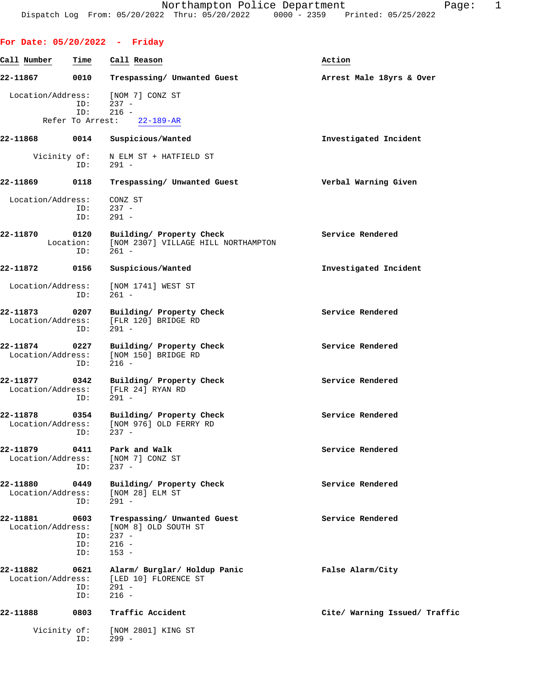**For Date: 05/20/2022 - Friday Call Number Time Call Reason Action 22-11867 0010 Trespassing/ Unwanted Guest Arrest Male 18yrs & Over** Location/Address: [NOM 7] CONZ ST ID: 237 - ID: 216 -<br>To Arrest: 22-189-AR Refer To Arrest: **22-11868 0014 Suspicious/Wanted Investigated Incident** Vicinity of: N ELM ST + HATFIELD ST<br>ID: 291 - $291 -$ **22-11869 0118 Trespassing/ Unwanted Guest Verbal Warning Given** Location/Address: CONZ ST ID: 237 - ID: 291 - **22-11870 0120 Building/ Property Check Service Rendered** Location: [NOM 2307] VILLAGE HILL NORTHAMPTON ID: 261 - **22-11872 0156 Suspicious/Wanted Investigated Incident** Location/Address: [NOM 1741] WEST ST ID: 261 - **22-11873 0207 Building/ Property Check Service Rendered** Location/Address: [FLR 120] BRIDGE RD ID: 291 - **22-11874 0227 Building/ Property Check Service Rendered** Execution/Address: [NOM 150] BRIDGE RD [NOM 150] BRIDGE RD<br>216 - $ID:$ **22-11877 0342 Building/ Property Check Service Rendered** Location/Address: [FLR 24] RYAN RD ID: 291 - **22-11878 0354 Building/ Property Check Service Rendered** Location/Address: [NOM 976] OLD FERRY RD ID: 237 - **22-11879 0411 Park and Walk Service Rendered** Location/Address: [NOM 7] CONZ ST ID: 237 - **22-11880** 0449 Building/ Property Check Service Rendered Location/Address: [NOM 28] ELM ST Location/Address: ID: 291 - **22-11881** 0603 **Trespassing/ Unwanted Guest** Service Rendered Location/Address: [NOM 8] OLD SOUTH ST [NOM 8] OLD SOUTH ST<br>237 - ID: 237 - ID: 216 - ID: 153 -

**22-11882 0621 Alarm/ Burglar/ Holdup Panic False Alarm/City** Location/Address: [LED 10] FLORENCE ST ID: 291 - ID: 216 - **22-11888 0803 Traffic Accident Cite/ Warning Issued/ Traffic**

Vicinity of: [NOM 2801] KING ST<br>ID: 299 -299 -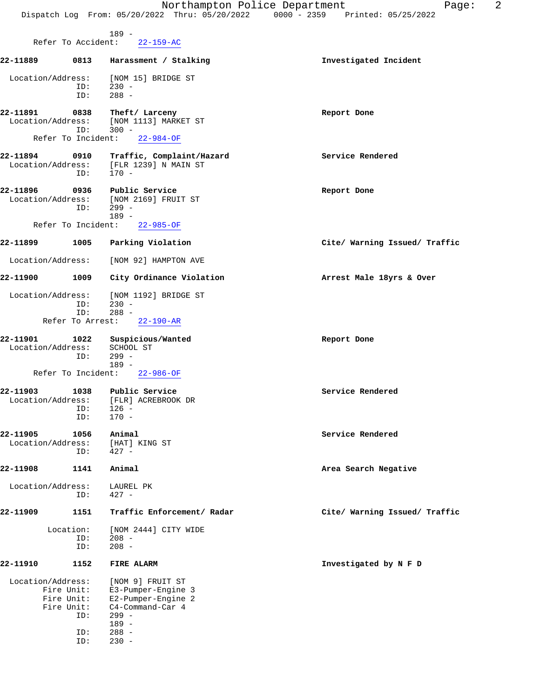|                               |                                               | Northampton Police Department<br>Dispatch Log From: 05/20/2022 Thru: 05/20/2022 | 2<br>Page:<br>$0000 - 2359$<br>Printed: 05/25/2022 |
|-------------------------------|-----------------------------------------------|---------------------------------------------------------------------------------|----------------------------------------------------|
|                               | Refer To Accident:                            | $189 -$<br>$22 - 159 - AC$                                                      |                                                    |
| 22-11889                      | 0813                                          | Harassment / Stalking                                                           | Investigated Incident                              |
| Location/Address:             | ID:<br>ID:                                    | [NOM 15] BRIDGE ST<br>$230 -$<br>$288 -$                                        |                                                    |
| 22-11891<br>Location/Address: | 0838<br>ID:                                   | Theft/ Larceny<br>[NOM 1113] MARKET ST<br>$300 -$                               | Report Done                                        |
|                               | Refer To Incident:                            | $22 - 984 - OF$                                                                 |                                                    |
| 22-11894<br>Location/Address: | 0910<br>ID:                                   | Traffic, Complaint/Hazard<br>[FLR 1239] N MAIN ST<br>$170 -$                    | Service Rendered                                   |
| 22-11896<br>Location/Address: | 0936<br>ID:                                   | Public Service<br>[NOM 2169] FRUIT ST<br>$299 -$<br>$189 -$                     | Report Done                                        |
|                               | Refer To Incident:                            | $22 - 985 - OF$                                                                 |                                                    |
| 22-11899                      | 1005                                          | Parking Violation                                                               | Cite/ Warning Issued/ Traffic                      |
| Location/Address:             |                                               | [NOM 92] HAMPTON AVE                                                            |                                                    |
| 22-11900                      | 1009                                          | City Ordinance Violation                                                        | Arrest Male 18yrs & Over                           |
| Location/Address:             | ID:<br>ID:<br>Refer To Arrest:                | [NOM 1192] BRIDGE ST<br>$230 -$<br>$288 -$<br>$22 - 190 - AR$                   |                                                    |
| 22-11901<br>Location/Address: | 1022<br>ID:                                   | Suspicious/Wanted<br>SCHOOL ST<br>$299 -$                                       | Report Done                                        |
|                               | Refer To Incident:                            | $189 -$<br>$22 - 986 - OF$                                                      |                                                    |
| 22-11903<br>Location/Address: | 1038<br>ID:<br>ID:                            | Public Service<br>[FLR] ACREBROOK DR<br>$126 -$<br>$170 -$                      | Service Rendered                                   |
| 22-11905<br>Location/Address: | 1056<br>ID:                                   | Animal<br>[HAT] KING ST<br>$427 -$                                              | Service Rendered                                   |
| 22-11908                      | 1141                                          | Animal                                                                          | Area Search Negative                               |
| Location/Address:             | ID:                                           | LAUREL PK<br>$427 -$                                                            |                                                    |
| 22-11909                      | 1151                                          | Traffic Enforcement/ Radar                                                      | Cite/ Warning Issued/ Traffic                      |
|                               | Location:                                     | [NOM 2444] CITY WIDE                                                            |                                                    |
|                               | ID:<br>ID:                                    | $208 -$<br>$208 -$                                                              |                                                    |
| 22-11910                      | 1152                                          | FIRE ALARM                                                                      | Investigated by N F D                              |
| Location/Address:             |                                               | [NOM 9] FRUIT ST                                                                |                                                    |
|                               | Fire Unit:<br>Fire Unit:<br>Fire Unit:<br>ID: | E3-Pumper-Engine 3<br>E2-Pumper-Engine 2<br>C4-Command-Car 4<br>$299 -$         |                                                    |
|                               | ID:                                           | $189 -$<br>$288 -$                                                              |                                                    |
|                               | ID:                                           | $230 -$                                                                         |                                                    |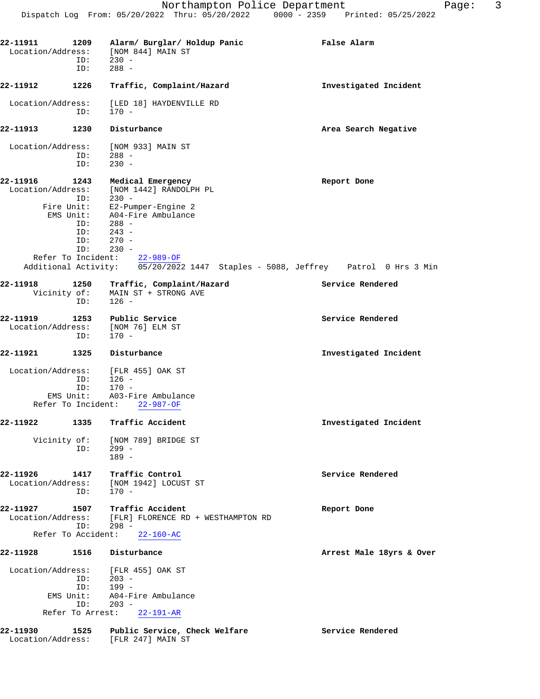| 22-11911<br>Location/Address:                       | 1209<br>ID:<br>ID:                                   | Alarm/ Burglar/ Holdup Panic<br>[NOM 844] MAIN ST<br>$230 -$<br>$288 -$                                                                                                                                                                                           | False Alarm              |
|-----------------------------------------------------|------------------------------------------------------|-------------------------------------------------------------------------------------------------------------------------------------------------------------------------------------------------------------------------------------------------------------------|--------------------------|
| 22-11912                                            | 1226                                                 | Traffic, Complaint/Hazard                                                                                                                                                                                                                                         | Investigated Incident    |
| Location/Address:                                   | ID:                                                  | [LED 18] HAYDENVILLE RD<br>$170 -$                                                                                                                                                                                                                                |                          |
| 22-11913                                            | 1230                                                 | Disturbance                                                                                                                                                                                                                                                       | Area Search Negative     |
| Location/Address:                                   | ID:<br>ID:                                           | [NOM 933] MAIN ST<br>$288 -$<br>$230 -$                                                                                                                                                                                                                           |                          |
| 22-11916<br>Location/Address:<br>Fire Unit:         | 1243<br>ID:<br>EMS Unit:<br>ID:<br>ID:<br>ID:<br>ID: | Medical Emergency<br>[NOM 1442] RANDOLPH PL<br>$230 -$<br>E2-Pumper-Engine 2<br>A04-Fire Ambulance<br>$288 -$<br>$243 -$<br>$270 -$<br>$230 -$<br>Refer To Incident: 22-989-OF<br>Additional Activity: 05/20/2022 1447 Staples - 5088, Jeffrey Patrol 0 Hrs 3 Min | Report Done              |
| 22-11918                                            | 1250                                                 | Traffic, Complaint/Hazard                                                                                                                                                                                                                                         | Service Rendered         |
| Vicinity of:                                        | ID:                                                  | MAIN ST + STRONG AVE<br>$126 -$                                                                                                                                                                                                                                   |                          |
| 22-11919<br>Location/Address:                       | 1253<br>ID:                                          | Public Service<br>[NOM 76] ELM ST<br>$170 -$                                                                                                                                                                                                                      | Service Rendered         |
| 22-11921                                            | 1325                                                 | Disturbance                                                                                                                                                                                                                                                       | Investigated Incident    |
| Location/Address:<br>Refer To Incident:             | ID:<br>ID:<br>EMS Unit:                              | [FLR 455] OAK ST<br>$126 -$<br>170 -<br>A03-Fire Ambulance<br>$22 - 987 - OF$                                                                                                                                                                                     |                          |
| 22-11922                                            | 1335                                                 | Traffic Accident                                                                                                                                                                                                                                                  | Investigated Incident    |
| Vicinity of:                                        | ID:                                                  | [NOM 789] BRIDGE ST<br>$299 -$<br>$189 -$                                                                                                                                                                                                                         |                          |
| 22-11926<br>Location/Address:                       | 1417<br>ID:                                          | Traffic Control<br>[NOM 1942] LOCUST ST<br>$170 -$                                                                                                                                                                                                                | Service Rendered         |
| 22-11927<br>Location/Address:<br>Refer To Accident: | 1507<br>ID:                                          | Traffic Accident<br>[FLR] FLORENCE RD + WESTHAMPTON RD<br>$298 -$<br>$22 - 160 - AC$                                                                                                                                                                              | Report Done              |
| 22-11928                                            | 1516                                                 | Disturbance                                                                                                                                                                                                                                                       | Arrest Male 18yrs & Over |
| Location/Address:                                   | ID:<br>ID:<br>EMS Unit:<br>ID:<br>Refer To Arrest:   | [FLR 455] OAK ST<br>$203 -$<br>199 -<br>A04-Fire Ambulance<br>$203 -$<br>22-191-AR                                                                                                                                                                                |                          |
| 22-11930<br>Location/Address:                       | 1525                                                 | Public Service, Check Welfare<br>[FLR 247] MAIN ST                                                                                                                                                                                                                | Service Rendered         |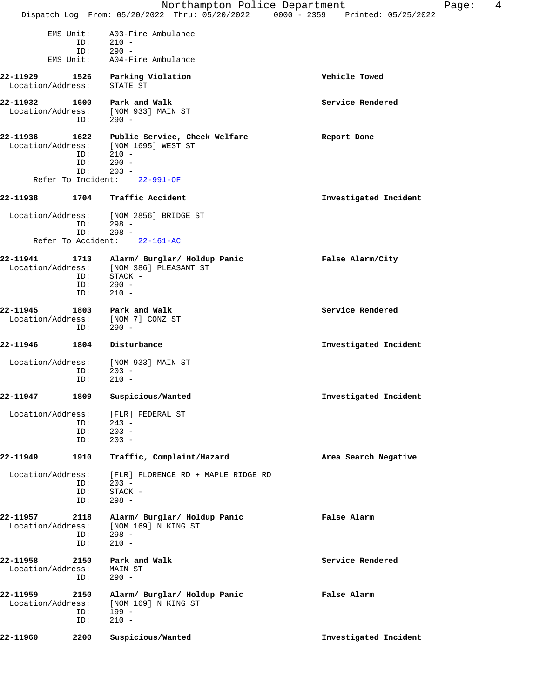|                                |                           | Northampton Police Department<br>Dispatch Log From: 05/20/2022 Thru: 05/20/2022 0000 - 2359 Printed: 05/25/2022           |                       | Page: | 4 |
|--------------------------------|---------------------------|---------------------------------------------------------------------------------------------------------------------------|-----------------------|-------|---|
| EMS Unit:<br>EMS Unit:         | ID:<br>ID:                | A03-Fire Ambulance<br>$210 -$<br>$290 -$<br>A04-Fire Ambulance                                                            |                       |       |   |
| 22-11929<br>Location/Address:  |                           | 1526 Parking Violation<br>STATE ST                                                                                        | Vehicle Towed         |       |   |
| 22-11932                       | 1600<br>ID:               | Park and Walk<br>Location/Address: [NOM 933] MAIN ST<br>$290 -$                                                           | Service Rendered      |       |   |
| 22-11936<br>Refer To Incident: | 1622<br>ID:<br>ID:<br>ID: | Public Service, Check Welfare<br>Location/Address: [NOM 1695] WEST ST<br>$210 -$<br>$290 -$<br>$203 -$<br>$22 - 991 - OF$ | Report Done           |       |   |
| 22-11938                       | 1704                      | Traffic Accident                                                                                                          | Investigated Incident |       |   |
|                                | ID:<br>ID:                | Location/Address: [NOM 2856] BRIDGE ST<br>$298 -$<br>$298 -$<br>Refer To Accident: 22-161-AC                              |                       |       |   |
| 22-11941                       | ID:<br>ID:<br>ID:         | 1713 Alarm/ Burglar/ Holdup Panic<br>Location/Address: [NOM 386] PLEASANT ST<br>STACK -<br>$290 -$<br>$210 -$             | False Alarm/City      |       |   |
| 22-11945                       | ID:                       | 1803 Park and Walk<br>Location/Address: [NOM 7] CONZ ST<br>$290 -$                                                        | Service Rendered      |       |   |
| 22-11946                       | 1804                      | Disturbance                                                                                                               | Investigated Incident |       |   |
|                                | ID:<br>ID:                | Location/Address: [NOM 933] MAIN ST<br>$203 -$<br>$210 -$                                                                 |                       |       |   |
| 22-11947                       |                           | 1809 Suspicious/Wanted                                                                                                    | Investigated Incident |       |   |
| Location/Address:              | ID:<br>ID:<br>ID:         | [FLR] FEDERAL ST<br>$243 -$<br>$203 -$<br>$203 -$                                                                         |                       |       |   |
| 22-11949                       | 1910                      | Traffic, Complaint/Hazard                                                                                                 | Area Search Negative  |       |   |
| Location/Address:              | ID:<br>ID:<br>ID:         | [FLR] FLORENCE RD + MAPLE RIDGE RD<br>$203 -$<br>STACK -<br>$298 -$                                                       |                       |       |   |
| 22-11957                       | 2118<br>ID:<br>ID:        | Alarm/ Burglar/ Holdup Panic<br>Location/Address: [NOM 169] N KING ST<br>$298 -$<br>$210 -$                               | False Alarm           |       |   |
| 22-11958<br>Location/Address:  | ID:                       | 2150 Park and Walk<br>MAIN ST<br>$290 -$                                                                                  | Service Rendered      |       |   |
| 22-11959<br>Location/Address:  | 2150<br>ID:<br>ID:        | Alarm/ Burglar/ Holdup Panic<br>[NOM 169] N KING ST<br>$199 -$<br>$210 -$                                                 | False Alarm           |       |   |
| 22-11960                       | 2200                      | Suspicious/Wanted                                                                                                         | Investigated Incident |       |   |